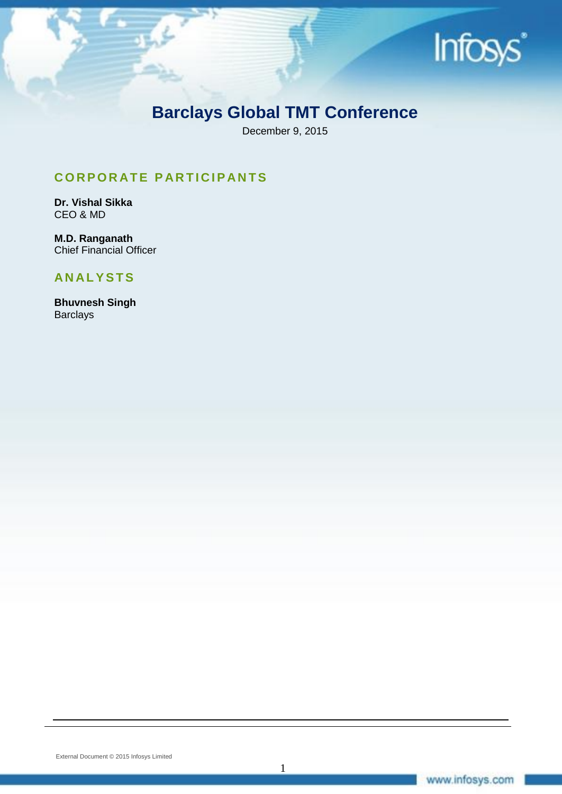

## **Barclays Global TMT Conference**

December 9, 2015

1

## **C O R P O R AT E P AR T I C I P AN T S**

**Dr. Vishal Sikka** CEO & MD

**M.D. Ranganath**  Chief Financial Officer

### **AN AL Y S T S**

**Bhuvnesh Singh Barclays**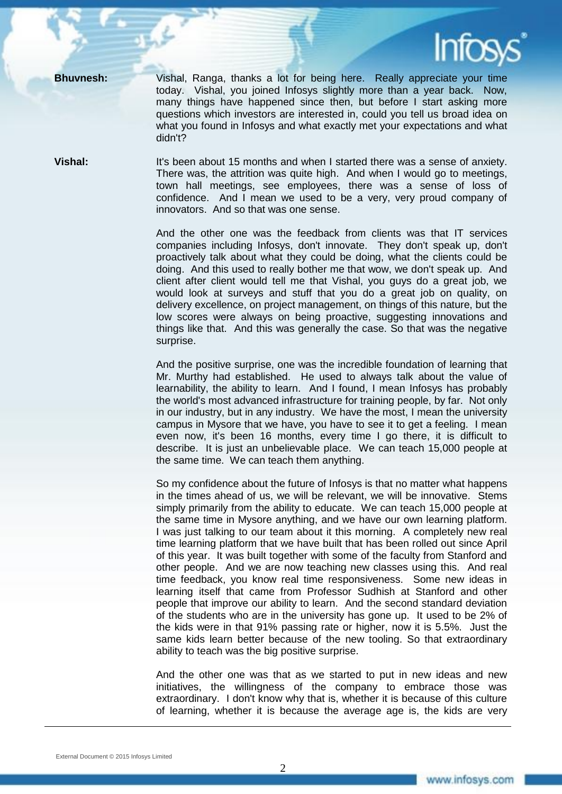

**Bhuvnesh:** Vishal, Ranga, thanks a lot for being here. Really appreciate your time today. Vishal, you joined Infosys slightly more than a year back. Now, many things have happened since then, but before I start asking more questions which investors are interested in, could you tell us broad idea on what you found in Infosys and what exactly met your expectations and what didn't?

**Vishal:** It's been about 15 months and when I started there was a sense of anxiety. There was, the attrition was quite high. And when I would go to meetings, town hall meetings, see employees, there was a sense of loss of confidence. And I mean we used to be a very, very proud company of innovators. And so that was one sense.

> And the other one was the feedback from clients was that IT services companies including Infosys, don't innovate. They don't speak up, don't proactively talk about what they could be doing, what the clients could be doing. And this used to really bother me that wow, we don't speak up. And client after client would tell me that Vishal, you guys do a great job, we would look at surveys and stuff that you do a great job on quality, on delivery excellence, on project management, on things of this nature, but the low scores were always on being proactive, suggesting innovations and things like that. And this was generally the case. So that was the negative surprise.

> And the positive surprise, one was the incredible foundation of learning that Mr. Murthy had established. He used to always talk about the value of learnability, the ability to learn. And I found, I mean Infosys has probably the world's most advanced infrastructure for training people, by far. Not only in our industry, but in any industry. We have the most, I mean the university campus in Mysore that we have, you have to see it to get a feeling. I mean even now, it's been 16 months, every time I go there, it is difficult to describe. It is just an unbelievable place. We can teach 15,000 people at the same time. We can teach them anything.

> So my confidence about the future of Infosys is that no matter what happens in the times ahead of us, we will be relevant, we will be innovative. Stems simply primarily from the ability to educate. We can teach 15,000 people at the same time in Mysore anything, and we have our own learning platform. I was just talking to our team about it this morning. A completely new real time learning platform that we have built that has been rolled out since April of this year. It was built together with some of the faculty from Stanford and other people. And we are now teaching new classes using this. And real time feedback, you know real time responsiveness. Some new ideas in learning itself that came from Professor Sudhish at Stanford and other people that improve our ability to learn. And the second standard deviation of the students who are in the university has gone up. It used to be 2% of the kids were in that 91% passing rate or higher, now it is 5.5%. Just the same kids learn better because of the new tooling. So that extraordinary ability to teach was the big positive surprise.

> And the other one was that as we started to put in new ideas and new initiatives, the willingness of the company to embrace those was extraordinary. I don't know why that is, whether it is because of this culture of learning, whether it is because the average age is, the kids are very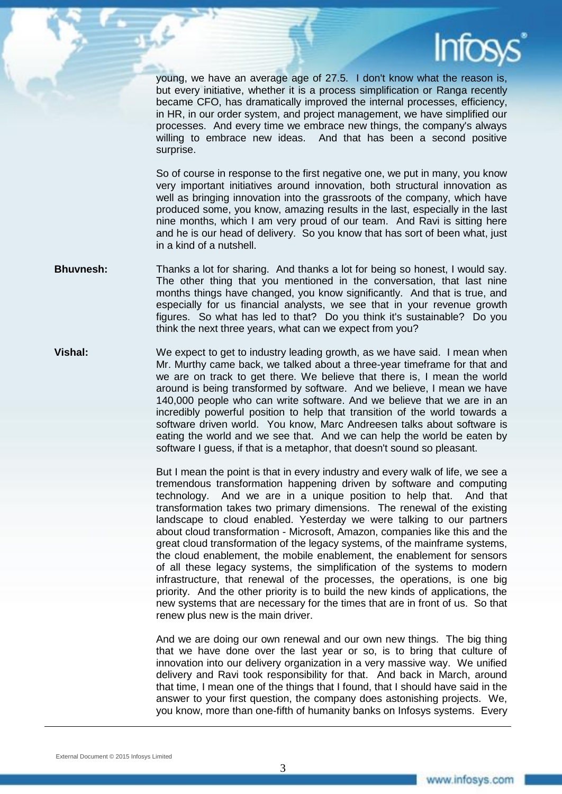young, we have an average age of 27.5. I don't know what the reason is, but every initiative, whether it is a process simplification or Ranga recently became CFO, has dramatically improved the internal processes, efficiency, in HR, in our order system, and project management, we have simplified our processes. And every time we embrace new things, the company's always willing to embrace new ideas. And that has been a second positive surprise.

So of course in response to the first negative one, we put in many, you know very important initiatives around innovation, both structural innovation as well as bringing innovation into the grassroots of the company, which have produced some, you know, amazing results in the last, especially in the last nine months, which I am very proud of our team. And Ravi is sitting here and he is our head of delivery. So you know that has sort of been what, just in a kind of a nutshell.

- **Bhuvnesh:** Thanks a lot for sharing. And thanks a lot for being so honest, I would say. The other thing that you mentioned in the conversation, that last nine months things have changed, you know significantly. And that is true, and especially for us financial analysts, we see that in your revenue growth figures. So what has led to that? Do you think it's sustainable? Do you think the next three years, what can we expect from you?
- **Vishal:** We expect to get to industry leading growth, as we have said. I mean when Mr. Murthy came back, we talked about a three-year timeframe for that and we are on track to get there. We believe that there is, I mean the world around is being transformed by software. And we believe, I mean we have 140,000 people who can write software. And we believe that we are in an incredibly powerful position to help that transition of the world towards a software driven world. You know, Marc Andreesen talks about software is eating the world and we see that. And we can help the world be eaten by software I guess, if that is a metaphor, that doesn't sound so pleasant.

But I mean the point is that in every industry and every walk of life, we see a tremendous transformation happening driven by software and computing technology. And we are in a unique position to help that. And that transformation takes two primary dimensions. The renewal of the existing landscape to cloud enabled. Yesterday we were talking to our partners about cloud transformation - Microsoft, Amazon, companies like this and the great cloud transformation of the legacy systems, of the mainframe systems, the cloud enablement, the mobile enablement, the enablement for sensors of all these legacy systems, the simplification of the systems to modern infrastructure, that renewal of the processes, the operations, is one big priority. And the other priority is to build the new kinds of applications, the new systems that are necessary for the times that are in front of us. So that renew plus new is the main driver.

And we are doing our own renewal and our own new things. The big thing that we have done over the last year or so, is to bring that culture of innovation into our delivery organization in a very massive way. We unified delivery and Ravi took responsibility for that. And back in March, around that time, I mean one of the things that I found, that I should have said in the answer to your first question, the company does astonishing projects. We, you know, more than one-fifth of humanity banks on Infosys systems. Every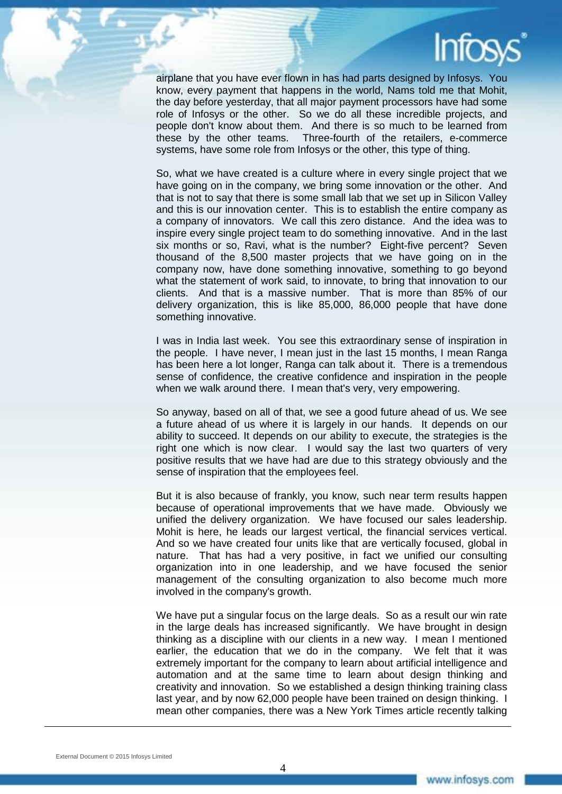airplane that you have ever flown in has had parts designed by Infosys. You know, every payment that happens in the world, Nams told me that Mohit, the day before yesterday, that all major payment processors have had some role of Infosys or the other. So we do all these incredible projects, and people don't know about them. And there is so much to be learned from these by the other teams. Three-fourth of the retailers, e-commerce systems, have some role from Infosys or the other, this type of thing.

So, what we have created is a culture where in every single project that we have going on in the company, we bring some innovation or the other. And that is not to say that there is some small lab that we set up in Silicon Valley and this is our innovation center. This is to establish the entire company as a company of innovators. We call this zero distance. And the idea was to inspire every single project team to do something innovative. And in the last six months or so, Ravi, what is the number? Eight-five percent? Seven thousand of the 8,500 master projects that we have going on in the company now, have done something innovative, something to go beyond what the statement of work said, to innovate, to bring that innovation to our clients. And that is a massive number. That is more than 85% of our delivery organization, this is like 85,000, 86,000 people that have done something innovative.

I was in India last week. You see this extraordinary sense of inspiration in the people. I have never, I mean just in the last 15 months, I mean Ranga has been here a lot longer, Ranga can talk about it. There is a tremendous sense of confidence, the creative confidence and inspiration in the people when we walk around there. I mean that's very, very empowering.

So anyway, based on all of that, we see a good future ahead of us. We see a future ahead of us where it is largely in our hands. It depends on our ability to succeed. It depends on our ability to execute, the strategies is the right one which is now clear. I would say the last two quarters of very positive results that we have had are due to this strategy obviously and the sense of inspiration that the employees feel.

But it is also because of frankly, you know, such near term results happen because of operational improvements that we have made. Obviously we unified the delivery organization. We have focused our sales leadership. Mohit is here, he leads our largest vertical, the financial services vertical. And so we have created four units like that are vertically focused, global in nature. That has had a very positive, in fact we unified our consulting organization into in one leadership, and we have focused the senior management of the consulting organization to also become much more involved in the company's growth.

We have put a singular focus on the large deals. So as a result our win rate in the large deals has increased significantly. We have brought in design thinking as a discipline with our clients in a new way. I mean I mentioned earlier, the education that we do in the company. We felt that it was extremely important for the company to learn about artificial intelligence and automation and at the same time to learn about design thinking and creativity and innovation. So we established a design thinking training class last year, and by now 62,000 people have been trained on design thinking. I mean other companies, there was a New York Times article recently talking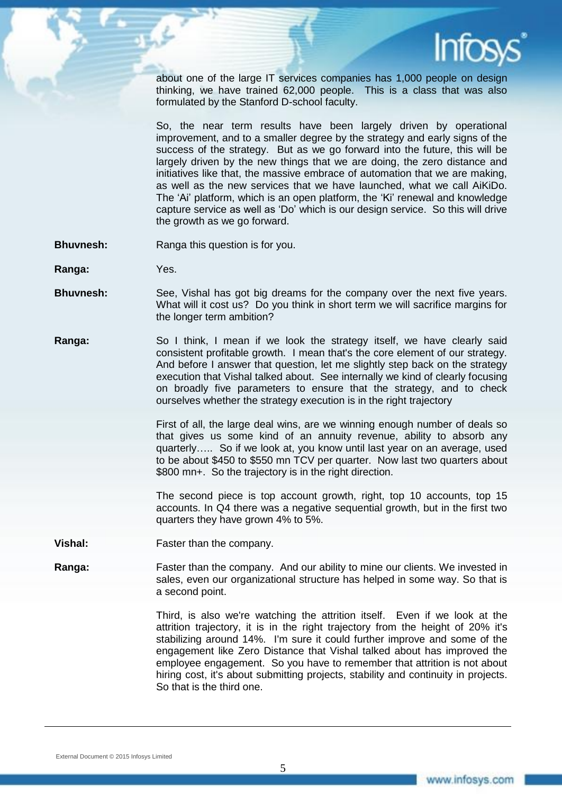

about one of the large IT services companies has 1,000 people on design thinking, we have trained 62,000 people. This is a class that was also formulated by the Stanford D-school faculty.

So, the near term results have been largely driven by operational improvement, and to a smaller degree by the strategy and early signs of the success of the strategy. But as we go forward into the future, this will be largely driven by the new things that we are doing, the zero distance and initiatives like that, the massive embrace of automation that we are making, as well as the new services that we have launched, what we call AiKiDo. The 'Ai' platform, which is an open platform, the 'Ki' renewal and knowledge capture service as well as 'Do' which is our design service. So this will drive the growth as we go forward.

- **Bhuvnesh:** Ranga this question is for you.
- **Ranga:** Yes.
- **Bhuvnesh:** See, Vishal has got big dreams for the company over the next five years. What will it cost us? Do you think in short term we will sacrifice margins for the longer term ambition?
- **Ranga:** So I think, I mean if we look the strategy itself, we have clearly said consistent profitable growth. I mean that's the core element of our strategy. And before I answer that question, let me slightly step back on the strategy execution that Vishal talked about. See internally we kind of clearly focusing on broadly five parameters to ensure that the strategy, and to check ourselves whether the strategy execution is in the right trajectory

First of all, the large deal wins, are we winning enough number of deals so that gives us some kind of an annuity revenue, ability to absorb any quarterly….. So if we look at, you know until last year on an average, used to be about \$450 to \$550 mn TCV per quarter. Now last two quarters about \$800 mn+. So the trajectory is in the right direction.

The second piece is top account growth, right, top 10 accounts, top 15 accounts. In Q4 there was a negative sequential growth, but in the first two quarters they have grown 4% to 5%.

- **Vishal:** Faster than the company.
- **Ranga:** Faster than the company. And our ability to mine our clients. We invested in sales, even our organizational structure has helped in some way. So that is a second point.

Third, is also we're watching the attrition itself. Even if we look at the attrition trajectory, it is in the right trajectory from the height of 20% it's stabilizing around 14%. I'm sure it could further improve and some of the engagement like Zero Distance that Vishal talked about has improved the employee engagement. So you have to remember that attrition is not about hiring cost, it's about submitting projects, stability and continuity in projects. So that is the third one.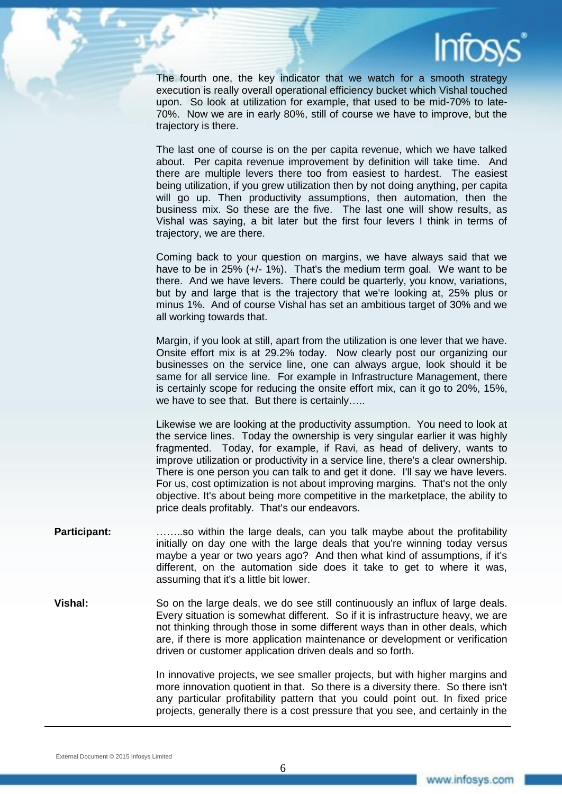

The fourth one, the key indicator that we watch for a smooth strategy execution is really overall operational efficiency bucket which Vishal touched upon. So look at utilization for example, that used to be mid-70% to late-70%. Now we are in early 80%, still of course we have to improve, but the trajectory is there.

The last one of course is on the per capita revenue, which we have talked about. Per capita revenue improvement by definition will take time. And there are multiple levers there too from easiest to hardest. The easiest being utilization, if you grew utilization then by not doing anything, per capita will go up. Then productivity assumptions, then automation, then the business mix. So these are the five. The last one will show results, as Vishal was saying, a bit later but the first four levers I think in terms of trajectory, we are there.

Coming back to your question on margins, we have always said that we have to be in 25% (+/- 1%). That's the medium term goal. We want to be there. And we have levers. There could be quarterly, you know, variations, but by and large that is the trajectory that we're looking at, 25% plus or minus 1%. And of course Vishal has set an ambitious target of 30% and we all working towards that.

Margin, if you look at still, apart from the utilization is one lever that we have. Onsite effort mix is at 29.2% today. Now clearly post our organizing our businesses on the service line, one can always argue, look should it be same for all service line. For example in Infrastructure Management, there is certainly scope for reducing the onsite effort mix, can it go to 20%, 15%, we have to see that. But there is certainly…..

Likewise we are looking at the productivity assumption. You need to look at the service lines. Today the ownership is very singular earlier it was highly fragmented. Today, for example, if Ravi, as head of delivery, wants to improve utilization or productivity in a service line, there's a clear ownership. There is one person you can talk to and get it done. I'll say we have levers. For us, cost optimization is not about improving margins. That's not the only objective. It's about being more competitive in the marketplace, the ability to price deals profitably. That's our endeavors.

- **Participant:** ……..so within the large deals, can you talk maybe about the profitability initially on day one with the large deals that you're winning today versus maybe a year or two years ago? And then what kind of assumptions, if it's different, on the automation side does it take to get to where it was, assuming that it's a little bit lower.
- **Vishal:** So on the large deals, we do see still continuously an influx of large deals. Every situation is somewhat different. So if it is infrastructure heavy, we are not thinking through those in some different ways than in other deals, which are, if there is more application maintenance or development or verification driven or customer application driven deals and so forth.

In innovative projects, we see smaller projects, but with higher margins and more innovation quotient in that. So there is a diversity there. So there isn't any particular profitability pattern that you could point out. In fixed price projects, generally there is a cost pressure that you see, and certainly in the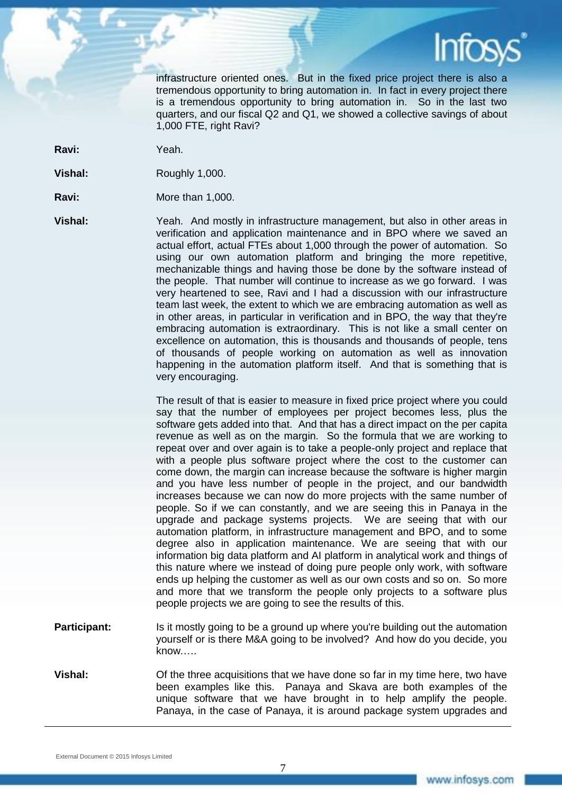

infrastructure oriented ones. But in the fixed price project there is also a tremendous opportunity to bring automation in. In fact in every project there is a tremendous opportunity to bring automation in. So in the last two quarters, and our fiscal Q2 and Q1, we showed a collective savings of about 1,000 FTE, right Ravi?

**Ravi:** Yeah.

**Vishal:** Roughly 1,000.

**Ravi:** More than 1,000.

**Vishal:** Yeah. And mostly in infrastructure management, but also in other areas in verification and application maintenance and in BPO where we saved an actual effort, actual FTEs about 1,000 through the power of automation. So using our own automation platform and bringing the more repetitive, mechanizable things and having those be done by the software instead of the people. That number will continue to increase as we go forward. I was very heartened to see, Ravi and I had a discussion with our infrastructure team last week, the extent to which we are embracing automation as well as in other areas, in particular in verification and in BPO, the way that they're embracing automation is extraordinary. This is not like a small center on excellence on automation, this is thousands and thousands of people, tens of thousands of people working on automation as well as innovation happening in the automation platform itself. And that is something that is very encouraging.

> The result of that is easier to measure in fixed price project where you could say that the number of employees per project becomes less, plus the software gets added into that. And that has a direct impact on the per capita revenue as well as on the margin. So the formula that we are working to repeat over and over again is to take a people-only project and replace that with a people plus software project where the cost to the customer can come down, the margin can increase because the software is higher margin and you have less number of people in the project, and our bandwidth increases because we can now do more projects with the same number of people. So if we can constantly, and we are seeing this in Panaya in the upgrade and package systems projects. We are seeing that with our automation platform, in infrastructure management and BPO, and to some degree also in application maintenance. We are seeing that with our information big data platform and AI platform in analytical work and things of this nature where we instead of doing pure people only work, with software ends up helping the customer as well as our own costs and so on. So more and more that we transform the people only projects to a software plus people projects we are going to see the results of this.

- **Participant:** Is it mostly going to be a ground up where you're building out the automation yourself or is there M&A going to be involved? And how do you decide, you know.….
- **Vishal:** Of the three acquisitions that we have done so far in my time here, two have been examples like this. Panaya and Skava are both examples of the unique software that we have brought in to help amplify the people. Panaya, in the case of Panaya, it is around package system upgrades and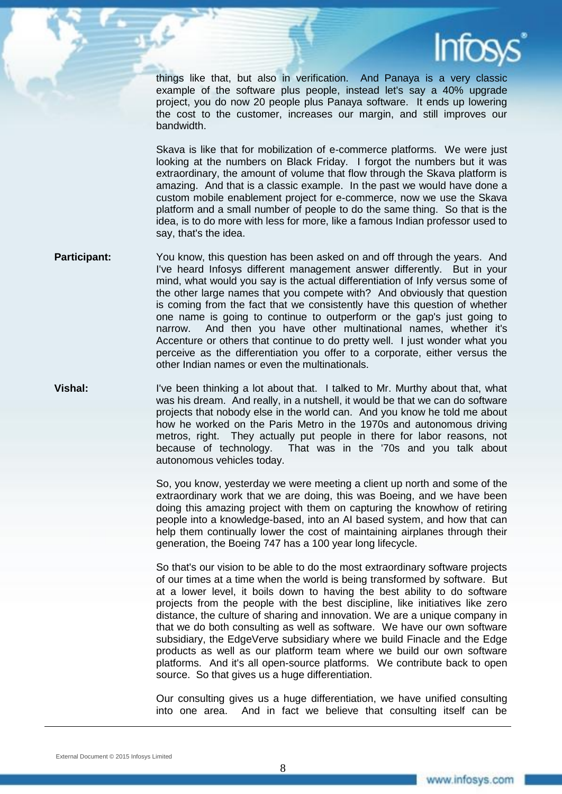

things like that, but also in verification. And Panaya is a very classic example of the software plus people, instead let's say a 40% upgrade project, you do now 20 people plus Panaya software. It ends up lowering the cost to the customer, increases our margin, and still improves our bandwidth.

Skava is like that for mobilization of e-commerce platforms. We were just looking at the numbers on Black Friday. I forgot the numbers but it was extraordinary, the amount of volume that flow through the Skava platform is amazing. And that is a classic example. In the past we would have done a custom mobile enablement project for e-commerce, now we use the Skava platform and a small number of people to do the same thing. So that is the idea, is to do more with less for more, like a famous Indian professor used to say, that's the idea.

- **Participant:** You know, this question has been asked on and off through the years. And I've heard Infosys different management answer differently. But in your mind, what would you say is the actual differentiation of Infy versus some of the other large names that you compete with? And obviously that question is coming from the fact that we consistently have this question of whether one name is going to continue to outperform or the gap's just going to narrow. And then you have other multinational names, whether it's Accenture or others that continue to do pretty well. I just wonder what you perceive as the differentiation you offer to a corporate, either versus the other Indian names or even the multinationals.
- **Vishal:** I've been thinking a lot about that. I talked to Mr. Murthy about that, what was his dream. And really, in a nutshell, it would be that we can do software projects that nobody else in the world can. And you know he told me about how he worked on the Paris Metro in the 1970s and autonomous driving metros, right. They actually put people in there for labor reasons, not because of technology. That was in the '70s and you talk about autonomous vehicles today.

So, you know, yesterday we were meeting a client up north and some of the extraordinary work that we are doing, this was Boeing, and we have been doing this amazing project with them on capturing the knowhow of retiring people into a knowledge-based, into an AI based system, and how that can help them continually lower the cost of maintaining airplanes through their generation, the Boeing 747 has a 100 year long lifecycle.

So that's our vision to be able to do the most extraordinary software projects of our times at a time when the world is being transformed by software. But at a lower level, it boils down to having the best ability to do software projects from the people with the best discipline, like initiatives like zero distance, the culture of sharing and innovation. We are a unique company in that we do both consulting as well as software. We have our own software subsidiary, the EdgeVerve subsidiary where we build Finacle and the Edge products as well as our platform team where we build our own software platforms. And it's all open-source platforms. We contribute back to open source. So that gives us a huge differentiation.

Our consulting gives us a huge differentiation, we have unified consulting into one area. And in fact we believe that consulting itself can be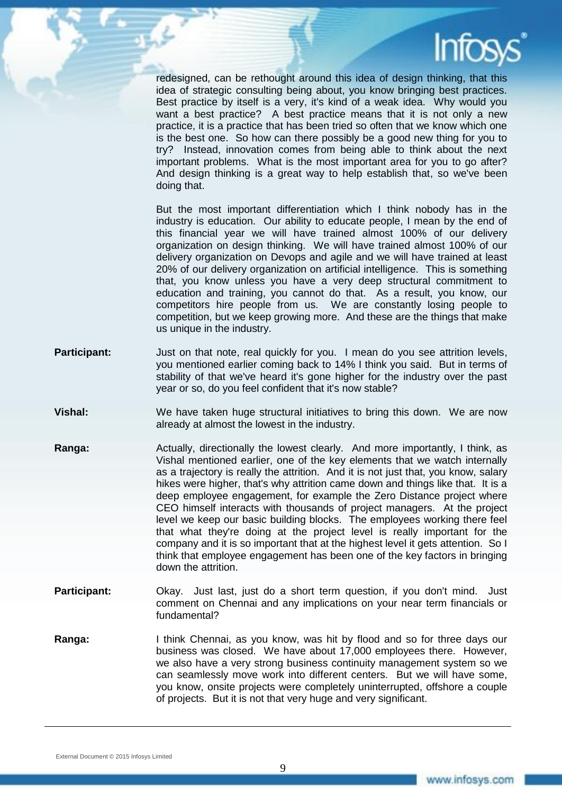redesigned, can be rethought around this idea of design thinking, that this idea of strategic consulting being about, you know bringing best practices. Best practice by itself is a very, it's kind of a weak idea. Why would you want a best practice? A best practice means that it is not only a new practice, it is a practice that has been tried so often that we know which one is the best one. So how can there possibly be a good new thing for you to try? Instead, innovation comes from being able to think about the next important problems. What is the most important area for you to go after? And design thinking is a great way to help establish that, so we've been doing that.

But the most important differentiation which I think nobody has in the industry is education. Our ability to educate people, I mean by the end of this financial year we will have trained almost 100% of our delivery organization on design thinking. We will have trained almost 100% of our delivery organization on Devops and agile and we will have trained at least 20% of our delivery organization on artificial intelligence. This is something that, you know unless you have a very deep structural commitment to education and training, you cannot do that. As a result, you know, our competitors hire people from us. We are constantly losing people to competition, but we keep growing more. And these are the things that make us unique in the industry.

- **Participant:** Just on that note, real quickly for you. I mean do you see attrition levels, you mentioned earlier coming back to 14% I think you said. But in terms of stability of that we've heard it's gone higher for the industry over the past year or so, do you feel confident that it's now stable?
- **Vishal:** We have taken huge structural initiatives to bring this down. We are now already at almost the lowest in the industry.
- **Ranga:** Actually, directionally the lowest clearly. And more importantly, I think, as Vishal mentioned earlier, one of the key elements that we watch internally as a trajectory is really the attrition. And it is not just that, you know, salary hikes were higher, that's why attrition came down and things like that. It is a deep employee engagement, for example the Zero Distance project where CEO himself interacts with thousands of project managers. At the project level we keep our basic building blocks. The employees working there feel that what they're doing at the project level is really important for the company and it is so important that at the highest level it gets attention. So I think that employee engagement has been one of the key factors in bringing down the attrition.
- **Participant:** Okay. Just last, just do a short term question, if you don't mind. Just comment on Chennai and any implications on your near term financials or fundamental?
- **Ranga:** I think Chennai, as you know, was hit by flood and so for three days our business was closed. We have about 17,000 employees there. However, we also have a very strong business continuity management system so we can seamlessly move work into different centers. But we will have some, you know, onsite projects were completely uninterrupted, offshore a couple of projects. But it is not that very huge and very significant.